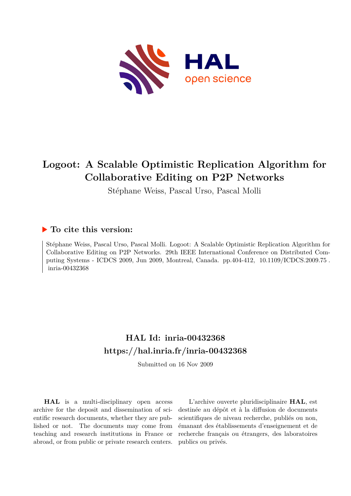

# **Logoot: A Scalable Optimistic Replication Algorithm for Collaborative Editing on P2P Networks**

Stéphane Weiss, Pascal Urso, Pascal Molli

# **To cite this version:**

Stéphane Weiss, Pascal Urso, Pascal Molli. Logoot: A Scalable Optimistic Replication Algorithm for Collaborative Editing on P2P Networks. 29th IEEE International Conference on Distributed Computing Systems - ICDCS 2009, Jun 2009, Montreal, Canada. pp.404-412, 10.1109/ICDCS.2009.75. inria-00432368

# **HAL Id: inria-00432368 <https://hal.inria.fr/inria-00432368>**

Submitted on 16 Nov 2009

**HAL** is a multi-disciplinary open access archive for the deposit and dissemination of scientific research documents, whether they are published or not. The documents may come from teaching and research institutions in France or abroad, or from public or private research centers.

L'archive ouverte pluridisciplinaire **HAL**, est destinée au dépôt et à la diffusion de documents scientifiques de niveau recherche, publiés ou non, émanant des établissements d'enseignement et de recherche français ou étrangers, des laboratoires publics ou privés.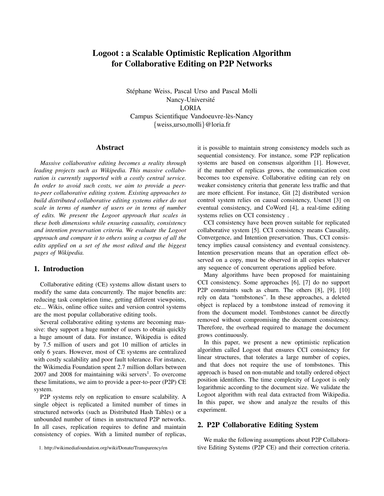# Logoot : a Scalable Optimistic Replication Algorithm for Collaborative Editing on P2P Networks

Stéphane Weiss, Pascal Urso and Pascal Molli Nancy-Université LORIA Campus Scientifique Vandoeuvre-lès-Nancy {weiss,urso,molli}@loria.fr

#### Abstract

*Massive collaborative editing becomes a reality through leading projects such as Wikipedia. This massive collaboration is currently supported with a costly central service. In order to avoid such costs, we aim to provide a peerto-peer collaborative editing system. Existing approaches to build distributed collaborative editing systems either do not scale in terms of number of users or in terms of number of edits. We present the Logoot approach that scales in these both dimensions while ensuring causality, consistency and intention preservation criteria. We evaluate the Logoot approach and compare it to others using a corpus of all the edits applied on a set of the most edited and the biggest pages of Wikipedia.*

### 1. Introduction

Collaborative editing (CE) systems allow distant users to modify the same data concurrently. The major benefits are: reducing task completion time, getting different viewpoints, etc... Wikis, online office suites and version control systems are the most popular collaborative editing tools.

Several collaborative editing systems are becoming massive: they support a huge number of users to obtain quickly a huge amount of data. For instance, Wikipedia is edited by 7.5 million of users and got 10 million of articles in only 6 years. However, most of CE systems are centralized with costly scalability and poor fault tolerance. For instance, the Wikimedia Foundation spent 2.7 million dollars between 2007 and 2008 for maintaining wiki servers<sup>1</sup>. To overcome these limitations, we aim to provide a peer-to-peer (P2P) CE system.

P2P systems rely on replication to ensure scalability. A single object is replicated a limited number of times in structured networks (such as Distributed Hash Tables) or a unbounded number of times in unstructured P2P networks. In all cases, replication requires to define and maintain consistency of copies. With a limited number of replicas,

1. http://wikimediafoundation.org/wiki/Donate/Transparency/en

it is possible to maintain strong consistency models such as sequential consistency. For instance, some P2P replication systems are based on consensus algorithm [1]. However, if the number of replicas grows, the communication cost becomes too expensive. Collaborative editing can rely on weaker consistency criteria that generate less traffic and that are more efficient. For instance, Git [2] distributed version control system relies on causal consistency, Usenet [3] on eventual consistency, and CoWord [4], a real-time editing systems relies on CCI consistency .

CCI consistency have been proven suitable for replicated collaborative system [5]. CCI consistency means Causality, Convergence, and Intention preservation. Thus, CCI consistency implies causal consistency and eventual consistency. Intention preservation means that an operation effect observed on a copy, must be observed in all copies whatever any sequence of concurrent operations applied before.

Many algorithms have been proposed for maintaining CCI consistency. Some approaches [6], [7] do no support P2P constraints such as churn. The others [8], [9], [10] rely on data "tombstones". In these approaches, a deleted object is replaced by a tombstone instead of removing it from the document model. Tombstones cannot be directly removed without compromising the document consistency. Therefore, the overhead required to manage the document grows continuously.

In this paper, we present a new optimistic replication algorithm called Logoot that ensures CCI consistency for linear structures, that tolerates a large number of copies, and that does not require the use of tombstones. This approach is based on non-mutable and totally ordered object position identifiers. The time complexity of Logoot is only logarithmic according to the document size. We validate the Logoot algorithm with real data extracted from Wikipedia. In this paper, we show and analyze the results of this experiment.

# 2. P2P Collaborative Editing System

We make the following assumptions about P2P Collaborative Editing Systems (P2P CE) and their correction criteria.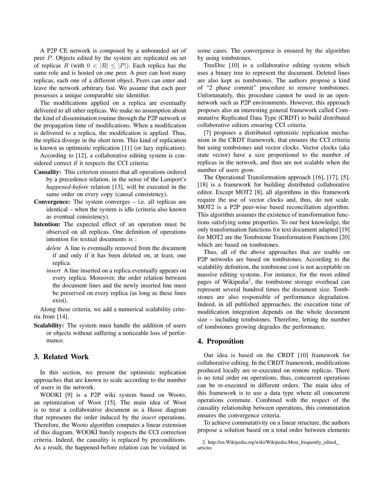A P2P CE network is composed by a unbounded set of peer P. Objects edited by the system are replicated on set of replicas R (with  $0 < |R| \leq |P|$ ). Each replica has the same role and is hosted on one peer. A peer can host many replicas, each one of a different object. Peers can enter and leave the network arbitrary fast. We assume that each peer possesses a unique comparable site identifier.

The modifications applied on a replica are eventually delivered to all other replicas. We make no assumption about the kind of dissemination routine through the P2P network or the propagation time of modifications. When a modification is delivered to a replica, the modification is applied. Thus, the replica diverge in the short term. This kind of replication is known as optimistic replication [11] (or lazy replication).

According to [12], a collaborative editing system is considered correct if it respects the CCI criteria:

- Causality: This criterion ensures that all operations ordered by a precedence relation, in the sense of the Lamport's *happened-before* relation [13], will be executed in the same order on every copy (causal consistency).
- Convergence: The system converges i.e. all replicas are identical – when the system is idle (criteria also known as eventual consistency).
- Intention: The expected effect of an operation must be observed on all replicas. One definition of operations intention for textual documents is :
	- *delete* A line is eventually removed from the document if and only if it has been deleted on, at least, one replica.
	- *insert* A line inserted on a replica eventually appears on every replica. Moreover, the order relation between the document lines and the newly inserted line must be preserved on every replica (as long as these lines exist).

Along these criteria, we add a numerical scalability criteria from [14].

Scalability: The system must handle the addition of users or objects without suffering a noticeable loss of performance.

# 3. Related Work

In this section, we present the optimistic replication approaches that are known to scale according to the number of users in the network.

WOOKI [9] is a P2P wiki system based on Wooto, an optimization of Woot [15]. The main idea of Woot is to treat a collaborative document as a Hasse diagram that represents the order induced by the *insert* operations. Therefore, the Wooto algorithm computes a linear extension of this diagram. WOOKI barely respects the CCI correction criteria. Indeed, the causality is replaced by preconditions. As a result, the happened-before relation can be violated in some cases. The convergence is ensured by the algorithm by using tombstones.

TreeDoc [10] is a collaborative editing system which uses a binary tree to represent the document. Deleted lines are also kept as tombstones. The authors propose a kind of "2 phase commit" procedure to remove tombstones. Unfortunately, this procedure cannot be used in an opennetwork such as P2P environments. However, this approach proposes also an interesting general framework called Commutative Replicated Data Type (CRDT) to build distributed collaborative editors ensuring CCI criteria.

[7] proposes a distributed optimistic replication mechanism in the CRDT framework, that ensures the CCI criteria but using tombstones and vector clocks. Vector clocks (aka state vector) have a size proportional to the number of replicas in the network, and thus are not scalable when the number of users grow.

The Operational Transformation approach [16], [17], [5], [18] is a framework for building distributed collaborative editor. Except MOT2 [8], all algorithms in this framework require the use of vector clocks and, thus, do not scale. MOT2 is a P2P peer-wise based reconciliation algorithm. This algorithm assumes the existence of transformation functions satisfying some properties. To our best knowledge, the only transformation functions for text document adapted [19] for MOT2 are the Tombstone Transformation Functions [20] which are based on tombstones.

Thus, all of the above approaches that are usable on P2P networks are based on tombstones. According to the scalability definition, the tombstone cost is not acceptable on massive editing systems. For instance, for the most edited pages of Wikipedia<sup>2</sup>, the tombstone storage overhead can represent several hundred times the document size. Tombstones are also responsible of performance degradation. Indeed, in all published approaches, the execution time of modification integration depends on the whole document size – including tombstones. Therefore, letting the number of tombstones growing degrades the performance.

# 4. Proposition

Our idea is based on the CRDT [10] framework for collaborative editing. In the CRDT framework, modifications produced locally are re-executed on remote replicas. There is no total order on operations, thus, concurrent operations can be re-executed in different orders. The main idea of this framework is to use a data type where all concurrent operations commute. Combined with the respect of the causality relationship between operations, this commutation ensures the convergence criteria.

To achieve commutativity on a linear structure, the authors propose a solution based on a total order between elements

<sup>2.</sup> http://en.Wikipedia.org/wiki/Wikipedia:Most\_frequently\_edited\_ articles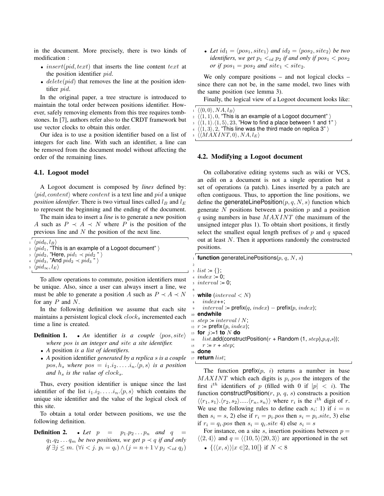in the document. More precisely, there is two kinds of modification :

- insert(pid, text) that inserts the line content text at the position identifier pid.
- $delete(pid)$  that removes the line at the position identifier pid.

In the original paper, a tree structure is introduced to maintain the total order between positions identifier. However, safely removing elements from this tree requires tombstones. In [7], authors refer also to the CRDT framework but use vector clocks to obtain this order.

Our idea is to use a position identifier based on a list of integers for each line. With such an identifier, a line can be removed from the document model without affecting the order of the remaining lines.

#### 4.1. Logoot model

A Logoot document is composed by *lines* defined by:  $\langle pid, content \rangle$  where *content* is a text line and pid a unique *position identifier*. There is two virtual lines called  $l_B$  and  $l_E$ to represent the beginning and the ending of the document.

The main idea to insert a *line* is to generate a new position A such as  $P \prec A \prec N$  where P is the position of the previous line and N the position of the next line.

 $\langle pid_0, l_B\rangle$ 

 $2 \pmod{4}$ , "This is an example of a Logoot document" i

 $\langle pid_2, \text{"Here,}~pid_1 \prec pid_2 \text{ "} \rangle$ 

 $\langle pid_3,$  "And  $pid_2 \prec pid_3$ "

```
\langle pid_{\infty},l_E\rangle
```
To allow operations to commute, position identifiers must be unique. Also, since a user can always insert a line, we must be able to generate a position A such as  $P \prec A \prec N$ for any  $P$  and  $N$ .

In the following definition we assume that each site maintains a persistent logical clock  $clock_s$  incremented each time a line is created.

```
Definition 1. • An identifier is a couple \langle pos, site \ranglewhere pos is an integer and site a site identifier.
```
- *A* position *is a list of identifiers.*
- *A* position identifier *generated by a replica* s *is a couple*  $pos, h_s$  *where*  $pos = i_1.i_2.\dots.i_n.\langle p, s \rangle$  *is a position and*  $h_s$  *is the value of clock<sub>s</sub>*.

Thus, every position identifier is unique since the last identifier of the list  $i_1 \n i_2 \n \ldots \n i_n \n \langle p, s \rangle$  which contains the unique site identifier and the value of the logical clock of this site.

To obtain a total order between positions, we use the following definition.

**Definition 2.** • Let  $p = p_1 \cdot p_2 \cdot \cdot \cdot p_n$  and  $q =$  $q_1.q_2...q_m$  *be two positions, we get*  $p \prec q$  *if and only if*  $\exists j \leq m$ .  $(\forall i < j$ .  $p_i = q_i) \land (j = n + 1 \lor p_j <_{id} q_j)$ 

• Let  $id_1 = \langle pos_1, site_1 \rangle$  and  $id_2 = \langle pos_2, site_2 \rangle$  *be two identifiers, we get*  $p_1 <_{id} p_2$  *if and only if*  $pos_1 < pos_2$ *or* if  $pos_1 = pos_2$  *and*  $site_1 < site_2$ *.* 

We only compare positions – and not logical clocks – since there can not be, in the same model, two lines with the same position (see lemma 3).

Finally, the logical view of a Logoot document looks like:

```
\langle \langle 0,0 \rangle, NA, l_B \rangle\langle \langle 1, 1 \rangle, 0, "This is an example of a Logoot document" \rangle3 \langle \langle 1, 1 \rangle \langle 1, 5 \rangle, 23, "How to find a place between 1 and 1" \rangle4\;\langle\langle 1, 3\rangle, 2, "This line was the third made on replica 3" \rangle\langle \langle MAXINT, 0 \rangle, NA, l_E \rangle
```
#### 4.2. Modifying a Logoot document

On collaborative editing systems such as wiki or VCS, an edit on a document is not a single operation but a set of operations (a patch). Lines inserted by a patch are often contiguous. Thus, to apportion the line positions, we define the generateLinePosition $(p, q, N, s)$  function which generate  $N$  positions between a position  $p$  and a position  $q$  using numbers in base  $MAXINT$  (the maximum of the unsigned integer plus 1). To obtain short positions, it firstly select the smallest equal length prefixes of  $p$  and  $q$  spaced out at least N. Then it apportions randomly the constructed positions.

|                | $\frac{1}{2}$ function generateLinePositions(p, q, N, s)             |
|----------------|----------------------------------------------------------------------|
| $\overline{2}$ |                                                                      |
|                | $: list := \{\}.$                                                    |
|                | $4 \ index = 0.$                                                     |
|                | $.5$ interval := 0;                                                  |
| 6              |                                                                      |
|                | $\tau$ while (interval $\langle N \rangle$                           |
|                | $index++$<br>$8 -$                                                   |
| $\overline{9}$ | $interval := prefix(q, index) - prefix(p, index);$                   |
|                | $_{10}$ endwhile                                                     |
|                | $\mu$ step = interval / N;                                           |
|                | $_{12}$ r := prefix (p, index);                                      |
|                | $_{13}$ for $j=1$ to $N$ do                                          |
|                | $_{14}$ list.add(constructPosition(r + Random (1, step), $p,q,s$ )); |
|                | 15 $r = r + step$ ;                                                  |
|                | 16 done                                                              |
|                | $_{17}$ return $list;$                                               |
|                |                                                                      |
|                | The function $prefix(n-i)$ returns a number in base                  |

The function prefix $(p, i)$  returns a number in base  $MAXINT$  which each digits is  $p_i$ , pos the integers of the first  $i^{th}$  identifiers of p (filled with 0 if  $|p| < i$ ). The function construct Position $(r, p, q, s)$  constructs a position  $\langle \langle r_1, s_1 \rangle \langle r_2, s_2 \rangle \dots \langle r_n, s_n \rangle \rangle$  where  $r_i$  is the i<sup>th</sup> digit of r. We use the following rules to define each  $s_i$ : 1) if  $i = n$ then  $s_i = s$ , 2) else if  $r_i = p_i$  pos then  $s_i = p_i$  site, 3) else if  $r_i = q_i$  pos then  $s_i = q_i$  site 4) else  $s_i = s$ 

For instance, on a site s, insertion positions between  $p =$  $\langle 2, 4 \rangle$  and  $q = \langle 10, 5 \rangle 20, 3 \rangle$  are apportioned in the set •  $\{\langle \langle x, s \rangle \rangle | x \in ]2, 10[\}$  if  $N < 8$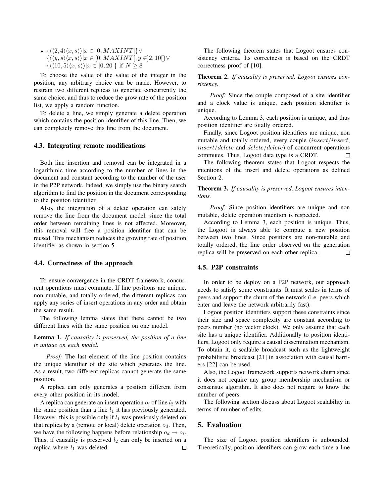•  $\{\langle\langle 2, 4\rangle\langle x, s\rangle\rangle | x \in [0, MAXINT[\}\vee$  $\{\langle \langle y, s \rangle \langle x, s \rangle \rangle | x \in [0, MAXINT[, y \in ]2, 10] \}$ ∨  $\{\langle\langle 10, 5\rangle\langle x, s\rangle\rangle | x \in [0, 20[\}\)$  if  $N \geq 8$ 

To choose the value of the value of the integer in the position, any arbitrary choice can be made. However, to restrain two different replicas to generate concurrently the same choice, and thus to reduce the grow rate of the position list, we apply a random function.

To delete a line, we simply generate a delete operation which contains the position identifier of this line. Then, we can completely remove this line from the document.

#### 4.3. Integrating remote modifications

Both line insertion and removal can be integrated in a logarithmic time according to the number of lines in the document and constant according to the number of the user in the P2P network. Indeed, we simply use the binary search algorithm to find the position in the document corresponding to the position identifier.

Also, the integration of a delete operation can safely remove the line from the document model, since the total order between remaining lines is not affected. Moreover, this removal will free a position identifier that can be reused. This mechanism reduces the growing rate of position identifier as shown in section 5.

#### 4.4. Correctness of the approach

To ensure convergence in the CRDT framework, concurrent operations must commute. If line positions are unique, non mutable, and totally ordered, the different replicas can apply any series of insert operations in any order and obtain the same result.

The following lemma states that there cannot be two different lines with the same position on one model.

Lemma 1. *If causality is preserved, the position of a line is unique on each model.*

*Proof:* The last element of the line position contains the unique identifier of the site which generates the line. As a result, two different replicas cannot generate the same position.

A replica can only generates a position different from every other position in its model.

A replica can generate an insert operation  $o_i$  of line  $l_2$  with the same position than a line  $l_1$  it has previously generated. However, this is possible only if  $l_1$  was previously deleted on that replica by a (remote or local) delete operation  $o_d$ . Then, we have the following happens before relationship  $o_d \rightarrow o_i$ . Thus, if causality is preserved  $l_2$  can only be inserted on a replica where  $l_1$  was deleted.  $\Box$ 

The following theorem states that Logoot ensures consistency criteria. Its correctness is based on the CRDT correctness proof of [10].

Theorem 2. *If causality is preserved, Logoot ensures consistency.*

*Proof:* Since the couple composed of a site identifier and a clock value is unique, each position identifier is unique.

According to Lemma 3, each position is unique, and thus position identifier are totally ordered.

Finally, since Logoot position identifiers are unique, non mutable and totally ordered, every couple (insert/insert, insert/delete and delete/delete) of concurrent operations commutes. Thus, Logoot data type is a CRDT.  $\Box$ 

The following theorem states that Logoot respects the intentions of the insert and delete operations as defined Section 2.

Theorem 3. *If causality is preserved, Logoot ensures intentions.*

*Proof:* Since position identifiers are unique and non mutable, delete operation intention is respected.

According to Lemma 3, each position is unique. Thus, the Logoot is always able to compute a new position between two lines. Since positions are non-mutable and totally ordered, the line order observed on the generation replica will be preserved on each other replica.  $\Box$ 

#### 4.5. P2P constraints

In order to be deploy on a P2P network, our approach needs to satisfy some constraints. It must scales in terms of peers and support the churn of the network (i.e. peers which enter and leave the network arbitrarily fast).

Logoot position identifiers support these constraints since their size and space complexity are constant according to peers number (no vector clock). We only assume that each site has a unique identifier. Additionally to position identifiers, Logoot only require a causal dissemination mechanism. To obtain it, a scalable broadcast such as the lightweight probabilistic broadcast [21] in association with causal barriers [22] can be used.

Also, the Logoot framework supports network churn since it does not require any group membership mechanism or consensus algorithm. It also does not require to know the number of peers.

The following section discuss about Logoot scalability in terms of number of edits.

#### 5. Evaluation

The size of Logoot position identifiers is unbounded. Theoretically, position identifiers can grow each time a line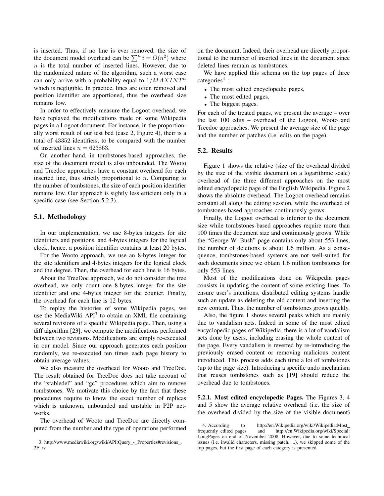is inserted. Thus, if no line is ever removed, the size of the document model overhead can be  $\sum^n i = O(n^2)$  where  $n$  is the total number of inserted lines. However, due to the randomized nature of the algorithm, such a worst case can only arrive with a probability equal to  $1/MAXINT<sup>n</sup>$ which is negligible. In practice, lines are often removed and position identifier are apportioned, thus the overhead size remains low.

In order to effectively measure the Logoot overhead, we have replayed the modifications made on some Wikipedia pages in a Logoot document. For instance, in the proportionally worst result of our test bed (case 2, Figure 4), their is a total of 43352 identifiers, to be compared with the number of inserted lines  $n = 623863$ .

On another hand, in tombstones-based approaches, the size of the document model is also unbounded. The Wooto and Treedoc approaches have a constant overhead for each inserted line, thus strictly proportional to  $n$ . Comparing to the number of tombstones, the size of each position identifier remains low. Our approach is sightly less efficient only in a specific case (see Section 5.2.3).

#### 5.1. Methodology

In our implementation, we use 8-bytes integers for site identifiers and positions, and 4-bytes integers for the logical clock, hence, a position identifier contains at least 20 bytes.

For the Wooto approach, we use an 8-bytes integer for the site identifiers and 4-bytes integers for the logical clock and the degree. Then, the overhead for each line is 16 bytes.

About the TreeDoc approach, we do not consider the tree overhead, we only count one 8-bytes integer for the site identifier and one 4-bytes integer for the counter. Finally, the overhead for each line is 12 bytes.

To replay the histories of some Wikipedia pages, we use the MediaWiki  $API<sup>3</sup>$  to obtain an XML file containing several revisions of a specific Wikipedia page. Then, using a diff algorithm [23], we compute the modifications performed between two revisions. Modifications are simply re-executed in our model. Since our approach generates each position randomly, we re-executed ten times each page history to obtain average values.

We also measure the overhead for Wooto and TreeDoc. The result obtained for TreeDoc does not take account of the "stabledel" and "gc" procedures which aim to remove tombstones. We motivate this choice by the fact that these procedures require to know the exact number of replicas which is unknown, unbounded and unstable in P2P networks.

The overhead of Wooto and TreeDoc are directly computed from the number and the type of operations performed on the document. Indeed, their overhead are directly proportional to the number of inserted lines in the document since deleted lines remain as tombstones.

We have applied this schema on the top pages of three categories<sup>4</sup>:

- The most edited encyclopedic pages,
- The most edited pages,
- The biggest pages.

For each of the treated pages, we present the average – over the last 100 edits – overhead of the Logoot, Wooto and Treedoc approaches. We present the average size of the page and the number of patches (i.e. edits on the page).

### 5.2. Results

Figure 1 shows the relative (size of the overhead divided by the size of the visible document on a logarithmic scale) overhead of the three different approaches on the most edited encyclopedic page of the English Wikipedia. Figure 2 shows the absolute overhead. The Logoot overhead remains constant all along the editing session, while the overhead of tombstones-based approaches continuously grows.

Finally, the Logoot overhead is inferior to the document size while tombstones-based approaches require more than 100 times the document size and continuously grows. While the "George W. Bush" page contains only about 553 lines, the number of deletions is about 1.6 million. As a consequence, tombstones-based systems are not well-suited for such documents since we obtain 1.6 million tombstones for only 553 lines.

Most of the modifications done on Wikipedia pages consists in updating the content of some existing lines. To ensure user's intentions, distributed editing systems handle such an update as deleting the old content and inserting the new content. Thus, the number of tombstones grows quickly.

Also, the figure 1 shows several peaks which are mainly due to vandalism acts. Indeed in some of the most edited encyclopedic pages of Wikipedia, there is a lot of vandalism acts done by users, including erasing the whole content of the page. Every vandalism is reverted by re-introducing the previously erased content or removing malicious content introduced. This process adds each time a lot of tombstones (up to the page size). Introducing a specific undo mechanism that reuses tombstones such as [19] should reduce the overhead due to tombstones.

5.2.1. Most edited encyclopedic Pages. The Figures 3, 4 and 5 show the average relative overhead (i.e. the size of the overhead divided by the size of the visible document)

4. According to http://en.Wikipedia.org/wiki/Wikipedia:Most frequently edited pages and http://en.Wikipedia.org/wiki/Special: LongPages on end of November 2008. However, due to some technical issues (i.e. invalid characters, missing patch, ...), we skipped some of the top pages, but the first page of each category is presented.

<sup>3.</sup> http://www.mediawiki.org/wiki/API:Query\_-\_Properties#revisions\_.  $2F_{IV}$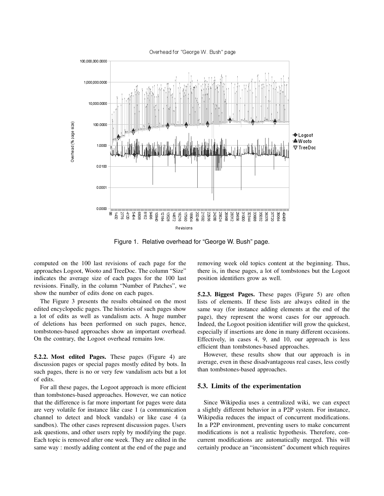

Figure 1. Relative overhead for "George W. Bush" page.

computed on the 100 last revisions of each page for the approaches Logoot, Wooto and TreeDoc. The column "Size" indicates the average size of each pages for the 100 last revisions. Finally, in the column "Number of Patches", we show the number of edits done on each pages.

The Figure 3 presents the results obtained on the most edited encyclopedic pages. The histories of such pages show a lot of edits as well as vandalism acts. A huge number of deletions has been performed on such pages, hence, tombstones-based approaches show an important overhead. On the contrary, the Logoot overhead remains low.

5.2.2. Most edited Pages. These pages (Figure 4) are discussion pages or special pages mostly edited by bots. In such pages, there is no or very few vandalism acts but a lot of edits.

For all these pages, the Logoot approach is more efficient than tombstones-based approaches. However, we can notice that the difference is far more important for pages were data are very volatile for instance like case 1 (a communication channel to detect and block vandals) or like case 4 (a sandbox). The other cases represent discussion pages. Users ask questions, and other users reply by modifying the page. Each topic is removed after one week. They are edited in the same way : mostly adding content at the end of the page and removing week old topics content at the beginning. Thus, there is, in these pages, a lot of tombstones but the Logoot position identifiers grow as well.

5.2.3. Biggest Pages. These pages (Figure 5) are often lists of elements. If these lists are always edited in the same way (for instance adding elements at the end of the page), they represent the worst cases for our approach. Indeed, the Logoot position identifier will grow the quickest, especially if insertions are done in many different occasions. Effectively, in cases 4, 9, and 10, our approach is less efficient than tombstones-based approaches.

However, these results show that our approach is in average, even in these disadvantageous real cases, less costly than tombstones-based approaches.

#### 5.3. Limits of the experimentation

Since Wikipedia uses a centralized wiki, we can expect a slightly different behavior in a P2P system. For instance, Wikipedia reduces the impact of concurrent modifications. In a P2P environment, preventing users to make concurrent modifications is not a realistic hypothesis. Therefore, concurrent modifications are automatically merged. This will certainly produce an "inconsistent" document which requires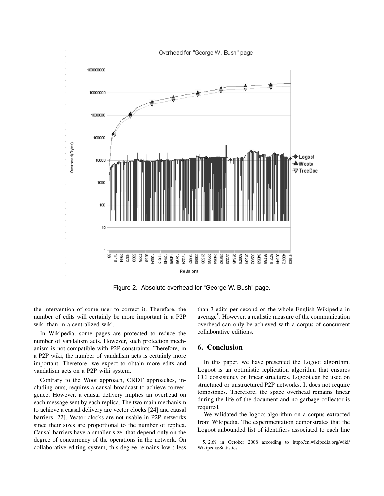

Figure 2. Absolute overhead for "George W. Bush" page.

the intervention of some user to correct it. Therefore, the number of edits will certainly be more important in a P2P wiki than in a centralized wiki.

In Wikipedia, some pages are protected to reduce the number of vandalism acts. However, such protection mechanism is not compatible with P2P constraints. Therefore, in a P2P wiki, the number of vandalism acts is certainly more important. Therefore, we expect to obtain more edits and vandalism acts on a P2P wiki system.

Contrary to the Woot approach, CRDT approaches, including ours, requires a causal broadcast to achieve convergence. However, a causal delivery implies an overhead on each message sent by each replica. The two main mechanism to achieve a causal delivery are vector clocks [24] and causal barriers [22]. Vector clocks are not usable in P2P networks since their sizes are proportional to the number of replica. Causal barriers have a smaller size, that depend only on the degree of concurrency of the operations in the network. On collaborative editing system, this degree remains low : less than 3 edits per second on the whole English Wikipedia in average<sup>5</sup>. However, a realistic measure of the communication overhead can only be achieved with a corpus of concurrent collaborative editions.

# 6. Conclusion

In this paper, we have presented the Logoot algorithm. Logoot is an optimistic replication algorithm that ensures CCI consistency on linear structures. Logoot can be used on structured or unstructured P2P networks. It does not require tombstones. Therefore, the space overhead remains linear during the life of the document and no garbage collector is required.

We validated the logoot algorithm on a corpus extracted from Wikipedia. The experimentation demonstrates that the Logoot unbounded list of identifiers associated to each line

<sup>5. 2.69</sup> in October 2008 according to http://en.wikipedia.org/wiki/ Wikipedia:Statistics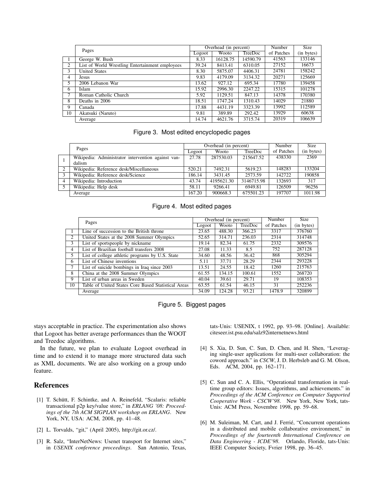|     | Pages                                           |       | Overhead (in percent) |                |            | Size       |
|-----|-------------------------------------------------|-------|-----------------------|----------------|------------|------------|
|     |                                                 |       | <b>Wooto</b>          | <b>TreeDoc</b> | of Patches | (in bytes) |
| - 1 | George W. Bush                                  | 8.33  | 16128.75              | 14590.79       | 41563      | 133146     |
| 2   | List of World Wrestling Entertainment employees | 39.24 | 8413.41               | 6310.05        | 27152      | 16673      |
| 3   | <b>United States</b>                            | 8.30  | 5875.07               | 4406.31        | 24781      | 158242     |
| 4   | Jesus                                           | 9.83  | 4179.09               | 3134.32        | 20271      | 125669     |
| 5.  | 2006 Lebanon War                                | 13.62 | 927.12                | 695.34         | 17780      | 139458     |
| 6   | <b>Islam</b>                                    | 15.92 | 2996.30               | 2247.22        | 15315      | 101278     |
|     | Roman Catholic Church                           | 5.92  | 1129.51               | 847.13         | 14378      | 170380     |
| 8   | Deaths in 2006                                  | 18.51 | 1747.24               | 1310.43        | 14029      | 21880      |
| 9   | Canada                                          | 17.88 | 4431.19               | 3323.39        | 13992      | 112589     |
| 10  | Akatsuki (Naruto)                               | 9.81  | 389.89                | 292.42         | 13929      | 60638      |
|     | Average                                         | 14.74 | 4621.76               | 3715.74        | 20319      | 106639     |

#### Figure 3. Most edited encyclopedic pages

|                | Pages                                                        |        | Overhead (in percent) | Number     | <b>Size</b> |            |
|----------------|--------------------------------------------------------------|--------|-----------------------|------------|-------------|------------|
|                |                                                              | Logoot | Wooto                 | TreeDoc    | of Patches  | (in bytes) |
|                | Wikipedia: Administrator intervention against van-<br>dalism | 27.78  | 287530.03             | 215647.52  | 438330      | 2369       |
| 2              | Wikipedia: Reference desk/Miscellaneous                      | 520.21 | 7492.31               | 5619.23    | 148283      | 133204     |
| -3             | Wikipedia: Reference desk/Science                            | 186.14 | 3431.45               | 2573.59    | 142722      | 190858     |
| $\overline{4}$ | Wikipedia: Introduction                                      | 43.74  | 4195621.30            | 3146715.98 | 132693      | 317        |
| .5             | Wikipedia: Help desk                                         | 58.11  | 9266.41               | 6949.81    | 126509      | 96256      |
|                | Average                                                      | 167.20 | 900668.3              | 675501.23  | 197707      | 1011.98    |

# Figure 4. Most edited pages

|                             | Pages                                               | Overhead (in percent) |        |         | Number     | <b>Size</b> |
|-----------------------------|-----------------------------------------------------|-----------------------|--------|---------|------------|-------------|
|                             |                                                     | Logoot                | Wooto  | TreeDoc | of Patches | (in bytes)  |
|                             | Line of succession to the British throne            | 23.65                 | 488.30 | 366.23  | 3317       | 376760      |
| $\mathcal{D}_{\mathcal{L}}$ | United States at the 2008 Summer Olympics           | 52.65                 | 314.71 | 236.03  | 2314       | 314748      |
| 3                           | List of sportspeople by nickname                    | 19.14                 | 82.34  | 61.75   | 2332       | 309576      |
| 4                           | List of Brazilian football transfers 2008           | 27.08                 | 11.33  | 8.5     | 752        | 287128      |
| 5                           | List of college athletic programs by U.S. State     | 34.60                 | 48.56  | 36.42   | 868        | 305294      |
| 6                           | List of Chinese inventions                          | 5.11                  | 37.71  | 28.29   | 2344       | 293228      |
|                             | List of suicide bombings in Iraq since 2003         | 13.51                 | 24.55  | 18.42   | 1260       | 215763      |
| 8                           | China at the 2008 Summer Olympics                   | 61.55                 | 134.15 | 100.61  | 1552       | 268720      |
| 9                           | List of urban areas in Sweden                       | 40.04                 | 39.61  | 29.71   | 19         | 108353      |
| 10                          | Table of United States Core Based Statistical Areas | 63.55                 | 61.54  | 46.15   | 31         | 252236      |
|                             | Average                                             | 34.09                 | 124.28 | 93.21   | 1478.9     | 320899      |



stays acceptable in practice. The experimentation also shows that Logoot has better average performances than the WOOT and Treedoc algorithms.

In the future, we plan to evaluate Logoot overhead in time and to extend it to manage more structured data such as XML documents. We are also working on a group undo feature.

# References

- [1] T. Schütt, F. Schintke, and A. Reinefeld, "Scalaris: reliable transactional p2p key/value store," in *ERLANG '08: Proceedings of the 7th ACM SIGPLAN workshop on ERLANG*. New York, NY, USA: ACM, 2008, pp. 41–48.
- [2] L. Torvalds, "git," (April 2005), http://git.or.cz/.
- [3] R. Salz, "InterNetNews: Usenet transport for Internet sites," in *USENIX conference proceedings*. San Antonio, Texas,

tats-Unis: USENIX, t 1992, pp. 93–98. [Online]. Available: citeseer.ist.psu.edu/salz92internetnews.html

- [4] S. Xia, D. Sun, C. Sun, D. Chen, and H. Shen, "Leveraging single-user applications for multi-user collaboration: the coword approach." in *CSCW*, J. D. Herbsleb and G. M. Olson, Eds. ACM, 2004, pp. 162–171.
- [5] C. Sun and C. A. Ellis, "Operational transformation in realtime group editors: Issues, algorithms, and achievements." in *Proceedings of the ACM Conference on Computer Supported Cooperative Work - CSCW'98*. New York, New York, tats-Unis: ACM Press, Novembre 1998, pp. 59–68.
- [6] M. Suleiman, M. Cart, and J. Ferrié, "Concurrent operations in a distributed and mobile collaborative environment," in *Proceedings of the fourteenth International Conference on Data Engineering - ICDE'98*. Orlando, Floride, tats-Unis: IEEE Computer Society, Fvrier 1998, pp. 36–45.